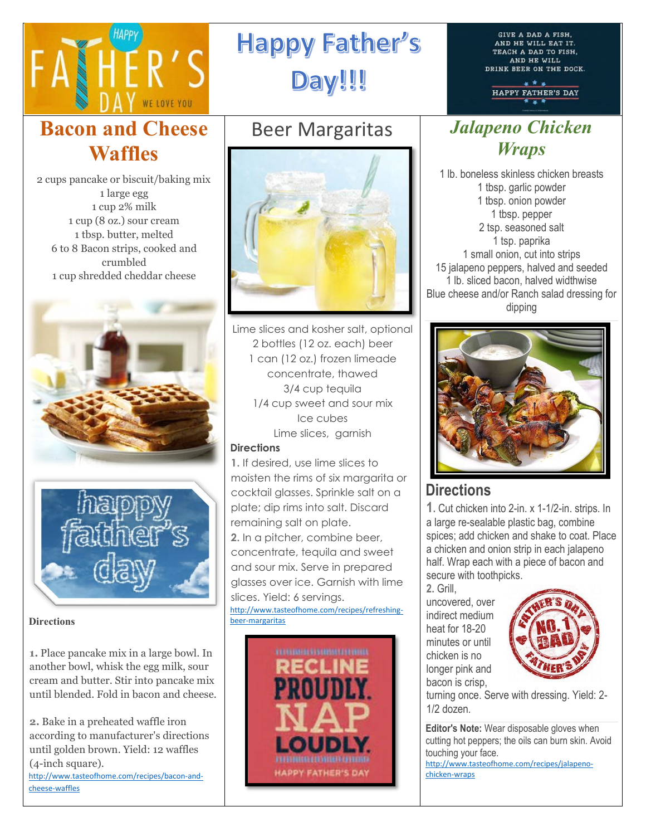

# **Happy Father's** Day!!!

**Bacon and Cheese Waffles**

2 cups pancake or biscuit/baking mix 1 large egg 1 cup 2% milk 1 cup (8 oz.) sour cream 1 tbsp. butter, melted 6 to 8 Bacon strips, cooked and crumbled 1 cup shredded cheddar cheese





#### **Directions**

**1.** Place pancake mix in a large bowl. In another bowl, whisk the egg milk, sour cream and butter. Stir into pancake mix until blended. Fold in bacon and cheese.

**2.** Bake in a preheated waffle iron according to manufacturer's directions until golden brown. Yield: 12 waffles (4-inch square). [http://www.tasteofhome.com/recipes/bacon-and-](http://www.tasteofhome.com/recipes/bacon-and-cheese-waffles)

[cheese-waffles](http://www.tasteofhome.com/recipes/bacon-and-cheese-waffles)

# Beer Margaritas



Lime slices and kosher salt, optional 2 bottles (12 oz. each) beer 1 can (12 oz.) frozen limeade concentrate, thawed 3/4 cup tequila 1/4 cup sweet and sour mix Ice cubes Lime slices, garnish

#### **Directions**

**1.** If desired, use lime slices to moisten the rims of six margarita or cocktail glasses. Sprinkle salt on a plate; dip rims into salt. Discard remaining salt on plate. **2.** In a pitcher, combine beer, concentrate, tequila and sweet and sour mix. Serve in prepared glasses over ice. Garnish with lime slices. Yield: 6 servings.

[http://www.tasteofhome.com/recipes/refreshing](http://www.tasteofhome.com/recipes/refreshing-beer-margaritas)[beer-margaritas](http://www.tasteofhome.com/recipes/refreshing-beer-margaritas)



**GIVE A DAD A FISH.** AND HE WILL EAT IT. TEACH A DAD TO FISH, AND HE WILL DRINK BEER ON THE DOCK.

HAPPY FATHER'S DAY

## *Jalapeno Chicken Wraps*

1 lb. boneless skinless chicken breasts 1 tbsp. garlic powder 1 tbsp. onion powder 1 tbsp. pepper 2 tsp. seasoned salt 1 tsp. paprika 1 small onion, cut into strips 15 jalapeno peppers, halved and seeded 1 lb. sliced bacon, halved widthwise Blue cheese and/or Ranch salad dressing for dipping



## **Directions**

**1.** Cut chicken into 2-in. x 1-1/2-in. strips. In a large re-sealable plastic bag, combine spices; add chicken and shake to coat. Place a chicken and onion strip in each jalapeno half. Wrap each with a piece of bacon and secure with toothpicks.

**2.** Grill, uncovered, over indirect medium heat for 18-20 minutes or until chicken is no longer pink and bacon is crisp,



turning once. Serve with dressing. Yield: 2- 1/2 dozen.

**Editor's Note:** Wear disposable gloves when cutting hot peppers; the oils can burn skin. Avoid touching your face.

[http://www.tasteofhome.com/recipes/jalapeno](http://www.tasteofhome.com/recipes/jalapeno-chicken-wraps)[chicken-wraps](http://www.tasteofhome.com/recipes/jalapeno-chicken-wraps)